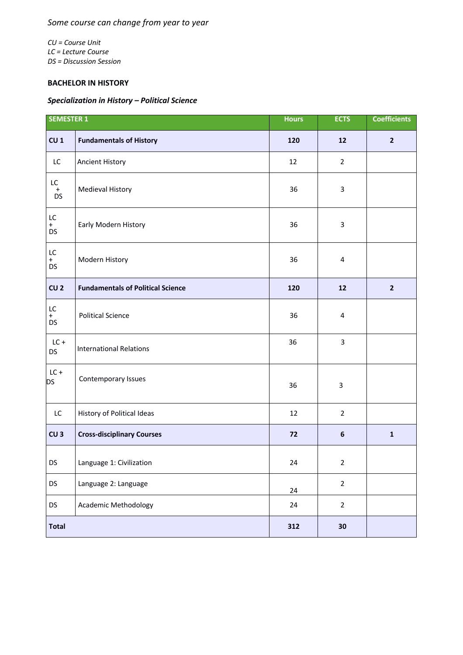*CU = Course Unit LC = Lecture Course DS = Discussion Session*

## **BACHELOR IN HISTORY**

## *Specialization in History – Political Science*

| <b>SEMESTER 1</b>          |                                          | <b>Hours</b> | <b>ECTS</b>    | <b>Coefficients</b> |
|----------------------------|------------------------------------------|--------------|----------------|---------------------|
| CU <sub>1</sub>            | <b>Fundamentals of History</b>           | 120          | 12             | $\overline{2}$      |
| LC                         | <b>Ancient History</b>                   | 12           | $\overline{2}$ |                     |
| $\mathsf{LC}$<br>$_{DS}^+$ | <b>Medieval History</b>                  | 36           | 3              |                     |
| LC<br>$+$<br><b>DS</b>     | Early Modern History                     | 36           | 3              |                     |
| LC<br>$+$<br><b>DS</b>     | Modern History                           | 36           | 4              |                     |
| CU <sub>2</sub>            | <b>Fundamentals of Political Science</b> | 120          | 12             | $\overline{2}$      |
| LC<br>$+$<br><b>DS</b>     | <b>Political Science</b>                 | 36           | 4              |                     |
| $LC +$<br><b>DS</b>        | <b>International Relations</b>           | 36           | 3              |                     |
| $LC +$<br><b>DS</b>        | Contemporary Issues                      | 36           | 3              |                     |
| LC                         | History of Political Ideas               | 12           | $\overline{2}$ |                     |
| CU <sub>3</sub>            | <b>Cross-disciplinary Courses</b>        | 72           | $\bf 6$        | $\mathbf 1$         |
| DS                         | Language 1: Civilization                 | 24           | $\overline{2}$ |                     |
| DS                         | Language 2: Language                     | 24           | $\overline{2}$ |                     |
| DS                         | <b>Academic Methodology</b>              | 24           | $\overline{2}$ |                     |
| <b>Total</b>               |                                          | 312          | 30             |                     |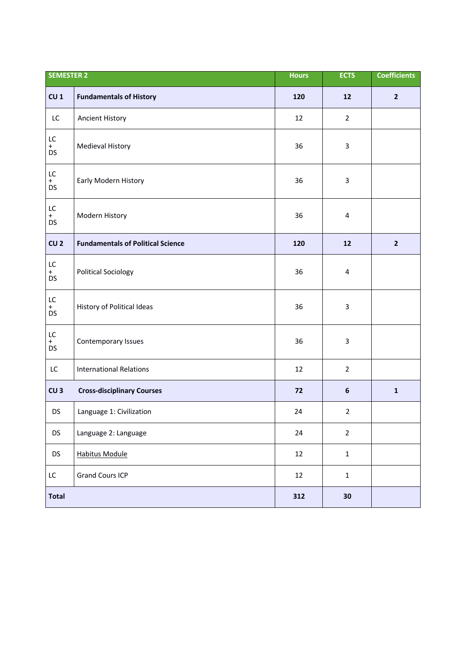| <b>SEMESTER 2</b>      |                                          | <b>Hours</b> | <b>ECTS</b>      | <b>Coefficients</b> |
|------------------------|------------------------------------------|--------------|------------------|---------------------|
| CU <sub>1</sub>        | <b>Fundamentals of History</b>           | 120          | 12               | $\overline{2}$      |
| LC                     | <b>Ancient History</b>                   | 12           | $\overline{2}$   |                     |
| LC<br>$+$<br><b>DS</b> | Medieval History                         | 36           | 3                |                     |
| LC<br>$+$<br><b>DS</b> | Early Modern History                     | 36           | 3                |                     |
| LC<br>$+$<br>DS        | Modern History                           | 36           | 4                |                     |
| CU <sub>2</sub>        | <b>Fundamentals of Political Science</b> | 120          | 12               | $\overline{2}$      |
| LC<br>$+$<br>DS        | <b>Political Sociology</b>               | 36           | 4                |                     |
| LC<br>$+$<br>DS        | History of Political Ideas               | 36           | 3                |                     |
| LC<br>$+$<br><b>DS</b> | Contemporary Issues                      | 36           | 3                |                     |
| LC                     | <b>International Relations</b>           | 12           | $\overline{2}$   |                     |
| CU <sub>3</sub>        | <b>Cross-disciplinary Courses</b>        | 72           | $\boldsymbol{6}$ | $\mathbf 1$         |
| <b>DS</b>              | Language 1: Civilization                 | 24           | $\overline{2}$   |                     |
| <b>DS</b>              | Language 2: Language                     | 24           | $\overline{2}$   |                     |
| DS                     | <b>Habitus Module</b>                    | 12           | $\mathbf{1}$     |                     |
| LC                     | <b>Grand Cours ICP</b>                   | 12           | $\mathbf{1}$     |                     |
| <b>Total</b>           |                                          | 312          | 30               |                     |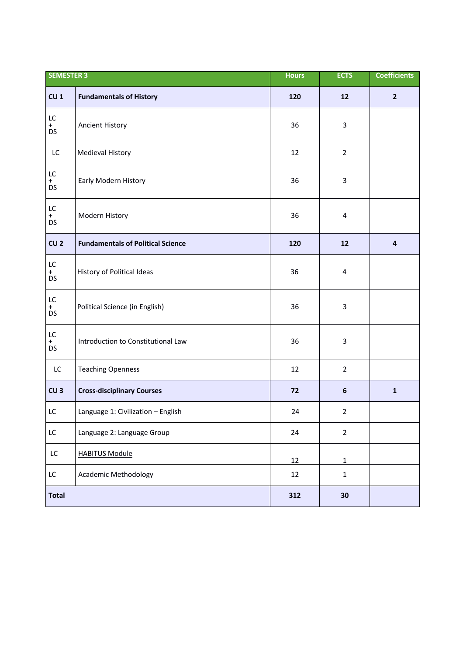| <b>SEMESTER 3</b>          |                                          | <b>Hours</b> | <b>ECTS</b>      | <b>Coefficients</b>     |
|----------------------------|------------------------------------------|--------------|------------------|-------------------------|
| CU <sub>1</sub>            | <b>Fundamentals of History</b>           | 120          | 12               | $\overline{2}$          |
| LC<br>$+$<br>DS            | <b>Ancient History</b>                   | 36           | 3                |                         |
| LC                         | Medieval History                         | 12           | $\overline{2}$   |                         |
| LC<br>$+$<br>DS            | Early Modern History                     | 36           | 3                |                         |
| ${\sf LC}$<br>$+$<br>DS    | Modern History                           | 36           | 4                |                         |
| CU <sub>2</sub>            | <b>Fundamentals of Political Science</b> | 120          | $12\,$           | $\overline{\mathbf{a}}$ |
| LC<br>$+$<br>DS            | History of Political Ideas               | 36           | 4                |                         |
| $\mathsf{LC}$<br>$+$<br>DS | Political Science (in English)           | 36           | 3                |                         |
| $\mathsf{LC}$<br>$+$<br>DS | Introduction to Constitutional Law       | 36           | 3                |                         |
| LC                         | <b>Teaching Openness</b>                 | 12           | $\overline{2}$   |                         |
| CU <sub>3</sub>            | <b>Cross-disciplinary Courses</b>        | 72           | $\boldsymbol{6}$ | $\mathbf{1}$            |
| LC                         | Language 1: Civilization - English       | 24           | $\overline{2}$   |                         |
| ${\sf LC}$                 | Language 2: Language Group               | 24           | $\overline{2}$   |                         |
| $\mathsf{LC}$              | <b>HABITUS Module</b>                    | 12           | $\mathbf 1$      |                         |
| $\mathsf{LC}$              | <b>Academic Methodology</b>              | 12           | $\mathbf 1$      |                         |
| <b>Total</b>               |                                          | 312          | 30               |                         |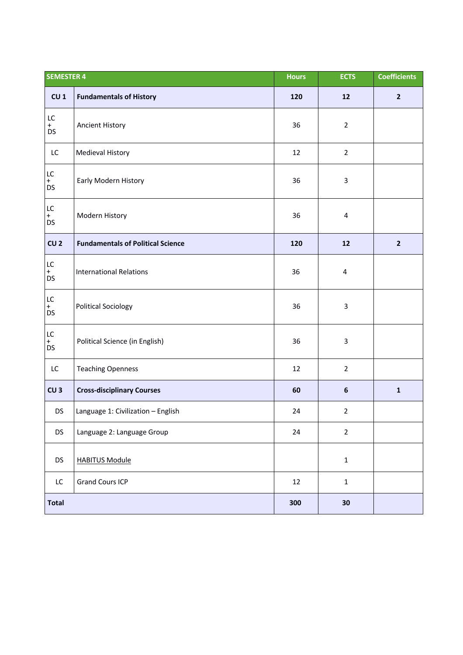| <b>SEMESTER 4</b>          |                                          | <b>Hours</b> | <b>ECTS</b>      | <b>Coefficients</b> |
|----------------------------|------------------------------------------|--------------|------------------|---------------------|
| CU <sub>1</sub>            | <b>Fundamentals of History</b>           | 120          | ${\bf 12}$       | $\overline{2}$      |
| LC<br>$+$<br><b>DS</b>     | <b>Ancient History</b>                   | 36           | $\overline{2}$   |                     |
| LC                         | Medieval History                         | 12           | $\overline{2}$   |                     |
| LC<br>$+$<br>DS            | Early Modern History                     | 36           | 3                |                     |
| $\mathsf{LC}$<br>$+$<br>DS | Modern History                           | 36           | 4                |                     |
| CU <sub>2</sub>            | <b>Fundamentals of Political Science</b> | 120          | 12               | $\overline{2}$      |
| $\mathsf{LC}$<br>$+$<br>DS | <b>International Relations</b>           | 36           | 4                |                     |
| $\mathsf{LC}$<br>$+$<br>DS | <b>Political Sociology</b>               | 36           | 3                |                     |
| $\mathsf{LC}$<br>$+$<br>DS | Political Science (in English)           | 36           | 3                |                     |
| LC                         | <b>Teaching Openness</b>                 | 12           | $\overline{2}$   |                     |
| CU <sub>3</sub>            | <b>Cross-disciplinary Courses</b>        | 60           | $\boldsymbol{6}$ | $\mathbf 1$         |
| <b>DS</b>                  | Language 1: Civilization - English       | 24           | $\overline{2}$   |                     |
| <b>DS</b>                  | Language 2: Language Group               | 24           | $\overline{2}$   |                     |
| <b>DS</b>                  | <b>HABITUS Module</b>                    |              | $\mathbf 1$      |                     |
| LC.                        | <b>Grand Cours ICP</b>                   | 12           | $\mathbf 1$      |                     |
| <b>Total</b>               |                                          | 300          | 30               |                     |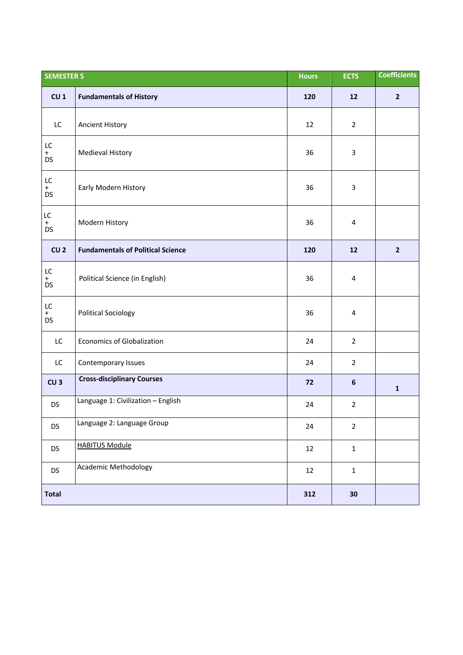| <b>SEMESTER 5</b>          |                                          | <b>Hours</b> | <b>ECTS</b>    | <b>Coefficients</b> |
|----------------------------|------------------------------------------|--------------|----------------|---------------------|
| CU <sub>1</sub>            | <b>Fundamentals of History</b>           | 120          | $12$           | $\overline{2}$      |
| LC                         | <b>Ancient History</b>                   | 12           | $\overline{2}$ |                     |
| LC<br>$+$<br>DS            | Medieval History                         | 36           | 3              |                     |
| $\mathsf{LC}$<br>$+$<br>DS | Early Modern History                     | 36           | 3              |                     |
| LC<br>$+$<br><b>DS</b>     | Modern History                           | 36           | 4              |                     |
| CU <sub>2</sub>            | <b>Fundamentals of Political Science</b> | 120          | $12$           | $\overline{2}$      |
| LC<br>$+$<br><b>DS</b>     | Political Science (in English)           | 36           | 4              |                     |
| LC<br>$+$<br>DS            | <b>Political Sociology</b>               | 36           | 4              |                     |
| LC                         | <b>Economics of Globalization</b>        | 24           | $\overline{2}$ |                     |
| LC                         | Contemporary Issues                      | 24           | $\overline{2}$ |                     |
| CU <sub>3</sub>            | <b>Cross-disciplinary Courses</b>        | 72           | $6\phantom{a}$ | $\mathbf 1$         |
| <b>DS</b>                  | Language 1: Civilization - English       | 24           | $\overline{2}$ |                     |
| DS                         | Language 2: Language Group               | 24           | $\overline{2}$ |                     |
| <b>DS</b>                  | <b>HABITUS Module</b>                    | 12           | $\mathbf{1}$   |                     |
| DS                         | <b>Academic Methodology</b>              | 12           | $\mathbf{1}$   |                     |
| <b>Total</b>               |                                          | 312          | 30             |                     |